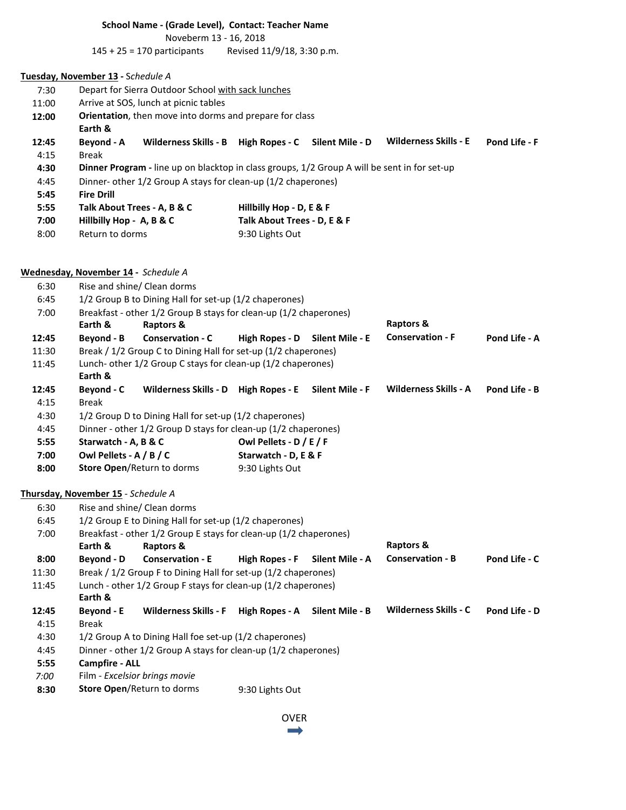## **School Name - (Grade Level), Contact: Teacher Name**

Noveberm 13 - 16, 2018

145 + 25 = 170 participants Revised 11/9/18, 3:30 p.m.

# **Tuesday, November 13 -** S*chedule A*

| 7:30  | Depart for Sierra Outdoor School with sack lunches                                                  |                 |                             |                              |                      |  |  |  |  |
|-------|-----------------------------------------------------------------------------------------------------|-----------------|-----------------------------|------------------------------|----------------------|--|--|--|--|
| 11:00 | Arrive at SOS, lunch at picnic tables                                                               |                 |                             |                              |                      |  |  |  |  |
| 12:00 | <b>Orientation</b> , then move into dorms and prepare for class                                     |                 |                             |                              |                      |  |  |  |  |
|       | Earth &                                                                                             |                 |                             |                              |                      |  |  |  |  |
| 12:45 | Wilderness Skills - B<br>Beyond - A                                                                 | High Ropes - C  | Silent Mile - D             | <b>Wilderness Skills - E</b> | <b>Pond Life - F</b> |  |  |  |  |
| 4:15  | Break                                                                                               |                 |                             |                              |                      |  |  |  |  |
| 4:30  | <b>Dinner Program</b> - line up on blacktop in class groups, 1/2 Group A will be sent in for set-up |                 |                             |                              |                      |  |  |  |  |
| 4:45  | Dinner- other 1/2 Group A stays for clean-up (1/2 chaperones)                                       |                 |                             |                              |                      |  |  |  |  |
| 5:45  | <b>Fire Drill</b>                                                                                   |                 |                             |                              |                      |  |  |  |  |
| 5:55  | Talk About Trees - A, B & C                                                                         |                 | Hillbilly Hop - D, E & F    |                              |                      |  |  |  |  |
| 7:00  | Hillbilly Hop - A, B & C                                                                            |                 | Talk About Trees - D, E & F |                              |                      |  |  |  |  |
| 8:00  | Return to dorms                                                                                     | 9:30 Lights Out |                             |                              |                      |  |  |  |  |

## **Wednesday, November 14 -** *Schedule A*

| 6:30  | Rise and shine/ Clean dorms                                       |                                                                |                         |                 |                              |               |  |  |  |
|-------|-------------------------------------------------------------------|----------------------------------------------------------------|-------------------------|-----------------|------------------------------|---------------|--|--|--|
| 6:45  | 1/2 Group B to Dining Hall for set-up (1/2 chaperones)            |                                                                |                         |                 |                              |               |  |  |  |
| 7:00  | Breakfast - other 1/2 Group B stays for clean-up (1/2 chaperones) |                                                                |                         |                 |                              |               |  |  |  |
|       | Earth &                                                           | Raptors &                                                      |                         |                 | Raptors &                    |               |  |  |  |
| 12:45 | Beyond - B                                                        | <b>Conservation - C</b>                                        | <b>High Ropes - D</b>   | Silent Mile - E | <b>Conservation - F</b>      | Pond Life - A |  |  |  |
| 11:30 | Break / 1/2 Group C to Dining Hall for set-up (1/2 chaperones)    |                                                                |                         |                 |                              |               |  |  |  |
| 11:45 | Lunch- other 1/2 Group C stays for clean-up (1/2 chaperones)      |                                                                |                         |                 |                              |               |  |  |  |
|       | Earth &                                                           |                                                                |                         |                 |                              |               |  |  |  |
| 12:45 | Beyond - C                                                        | Wilderness Skills - D High Ropes - E                           |                         | Silent Mile - F | <b>Wilderness Skills - A</b> | Pond Life - B |  |  |  |
| 4:15  | <b>Break</b>                                                      |                                                                |                         |                 |                              |               |  |  |  |
| 4:30  | 1/2 Group D to Dining Hall for set-up (1/2 chaperones)            |                                                                |                         |                 |                              |               |  |  |  |
| 4:45  | Dinner - other 1/2 Group D stays for clean-up (1/2 chaperones)    |                                                                |                         |                 |                              |               |  |  |  |
| 5:55  | Starwatch - A, B & C                                              |                                                                | Owl Pellets - D / E / F |                 |                              |               |  |  |  |
| 7:00  | Owl Pellets - A / B / C                                           |                                                                | Starwatch - D, E & F    |                 |                              |               |  |  |  |
| 8:00  | Store Open/Return to dorms                                        |                                                                | 9:30 Lights Out         |                 |                              |               |  |  |  |
|       |                                                                   |                                                                |                         |                 |                              |               |  |  |  |
|       | Thursday, November 15 - Schedule A                                |                                                                |                         |                 |                              |               |  |  |  |
| 6:30  | Rise and shine/ Clean dorms                                       |                                                                |                         |                 |                              |               |  |  |  |
| 6:45  | 1/2 Group E to Dining Hall for set-up (1/2 chaperones)            |                                                                |                         |                 |                              |               |  |  |  |
| 7:00  | Breakfast - other 1/2 Group E stays for clean-up (1/2 chaperones) |                                                                |                         |                 |                              |               |  |  |  |
|       | Earth &                                                           | Raptors &                                                      | <b>Raptors &amp;</b>    |                 |                              |               |  |  |  |
| 8:00  | Beyond - D                                                        | <b>Conservation - E</b>                                        | <b>High Ropes - F</b>   | Silent Mile - A | <b>Conservation - B</b>      | Pond Life - C |  |  |  |
| 11:30 |                                                                   | Break / 1/2 Group F to Dining Hall for set-up (1/2 chaperones) |                         |                 |                              |               |  |  |  |
| 11:45 | Lunch - other 1/2 Group F stays for clean-up (1/2 chaperones)     |                                                                |                         |                 |                              |               |  |  |  |
|       | Earth &                                                           |                                                                |                         |                 |                              |               |  |  |  |
| 12:45 | Beyond - E                                                        | <b>Wilderness Skills - F</b>                                   | <b>High Ropes - A</b>   | Silent Mile - B | <b>Wilderness Skills - C</b> | Pond Life - D |  |  |  |
| 4:15  | <b>Break</b>                                                      |                                                                |                         |                 |                              |               |  |  |  |
| 4:30  | 1/2 Group A to Dining Hall foe set-up (1/2 chaperones)            |                                                                |                         |                 |                              |               |  |  |  |
| 4:45  | Dinner - other 1/2 Group A stays for clean-up (1/2 chaperones)    |                                                                |                         |                 |                              |               |  |  |  |
| 5:55  | <b>Campfire - ALL</b>                                             |                                                                |                         |                 |                              |               |  |  |  |
| 7:00  | Film - Excelsior brings movie                                     |                                                                |                         |                 |                              |               |  |  |  |
| 8:30  |                                                                   | Store Open/Return to dorms                                     | 9:30 Lights Out         |                 |                              |               |  |  |  |
|       |                                                                   |                                                                |                         |                 |                              |               |  |  |  |

OVER $\rightarrow$